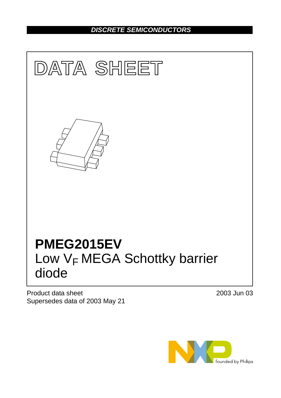# *DISCRETE SEMICONDUCTORS*



Product data sheet Supersedes data of 2003 May 21 2003 Jun 03

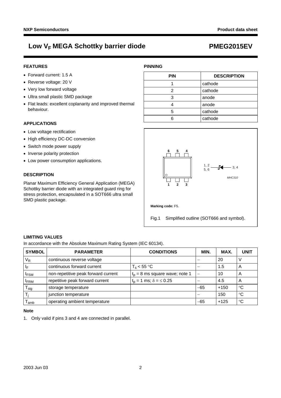## **FEATURES**

- Forward current: 1.5 A
- Reverse voltage: 20 V
- Very low forward voltage
- Ultra small plastic SMD package
- Flat leads: excellent coplanarity and improved thermal behaviour.

## **APPLICATIONS**

- Low voltage rectification
- High efficiency DC-DC conversion
- Switch mode power supply
- Inverse polarity protection
- Low power consumption applications.

# **DESCRIPTION**

Planar Maximum Efficiency General Application (MEGA) Schottky barrier diode with an integrated guard ring for stress protection, encapsulated in a SOT666 ultra small SMD plastic package.

| <b>PIN</b> | <b>DESCRIPTION</b> |
|------------|--------------------|
|            | cathode            |
| 2          | cathode            |
| 3          | anode              |
|            | anode              |
| 5          | cathode            |
|            | cathode            |

**PINNING**



### **LIMITING VALUES**

In accordance with the Absolute Maximum Rating System (IEC 60134).

| <b>SYMBOL</b>    | <b>PARAMETER</b>                    | <b>CONDITIONS</b>                  | MIN.                     | MAX.   | <b>UNIT</b>     |
|------------------|-------------------------------------|------------------------------------|--------------------------|--------|-----------------|
| $V_R$            | continuous reverse voltage          |                                    |                          | 20     |                 |
| $I_F$            | continuous forward current          | $T_s < 55$ °C                      |                          | 1.5    | A               |
| <b>IFSM</b>      | non-repetitive peak forward current | $t_p = 8$ ms square wave; note 1   | $\overline{\phantom{m}}$ | 10     | A               |
| <b>FRM</b>       | repetitive peak forward current     | $t_0 = 1$ ms; $\delta = \leq 0.25$ |                          | 4.5    | A               |
| $T_{\text{stg}}$ | storage temperature                 |                                    | $-65$                    | $+150$ | $\rm ^{\circ}C$ |
| $T_i$            | junction temperature                |                                    |                          | 150    | $\rm ^{\circ}C$ |
| amb              | operating ambient temperature       |                                    | $-65$                    | $+125$ | $\rm ^{\circ}C$ |

### **Note**

<span id="page-1-0"></span>1. Only valid if pins 3 and 4 are connected in parallel.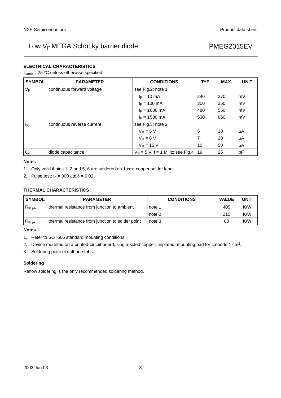# **ELECTRICAL CHARACTERISTICS**

 $T_{amb}$  = 25 °C unless otherwise specified.

| <b>SYMBOL</b> | <b>PARAMETER</b>           | <b>CONDITIONS</b>                  | TYP. | MAX. | <b>UNIT</b> |
|---------------|----------------------------|------------------------------------|------|------|-------------|
| $V_F$         | continuous forward voltage | see Fig.2; note 1                  |      |      |             |
|               |                            | $I_F = 10$ mA                      | 240  | 270  | mV          |
|               |                            | $I_F = 100$ mA                     | 300  | 350  | mV          |
|               |                            | $I_F = 1000$ mA                    | 480  | 550  | mV          |
|               |                            | $I_F = 1500$ mA                    | 530  | 660  | mV          |
| $I_R$         | continuous reverse current | see Fig.3; note 2                  |      |      |             |
|               |                            | $V_R = 5 V$                        | 5    | 10   | μA          |
|               |                            | $V_R = 8 V$                        | 7    | 20   | $\mu$ A     |
|               |                            | $V_R = 15 V$                       | 10   | 50   | $\mu$ A     |
| $C_d$         | diode capacitance          | $V_R = 5 V$ ; f = 1 MHz; see Fig.4 | 19   | 25   | pF          |

### **Notes**

- <span id="page-2-3"></span>1. Only valid if pins 1, 2 and 5, 6 are soldered on 1 cm2 copper solder land.
- <span id="page-2-4"></span>2. Pulse test:  $t_p = 300 \mu s$ ;  $\delta = 0.02$ .

# **THERMAL CHARACTERISTICS**

| <b>SYMBOL</b> | <b>PARAMETER</b>                                 | <b>CONDITIONS</b> | <b>VALUE</b> | <b>UNIT</b> |
|---------------|--------------------------------------------------|-------------------|--------------|-------------|
| $R_{th i-a}$  | thermal resistance from junction to ambient      | note 1            | 405          | K/W         |
|               |                                                  | note 2            | 215          | K/W         |
| $R_{th\ j-s}$ | thermal resistance from junction to solder point | note 3            | 80           | K/W         |

### **Notes**

- <span id="page-2-0"></span>1. Refer to SOT666 standard mounting conditions.
- <span id="page-2-1"></span>2. Device mounted on a printed-circuit board, single-sided copper, tinplated, mounting pad for cathode 1 cm2.
- <span id="page-2-2"></span>3. Soldering point of cathode tabs.

### **Soldering**

Reflow soldering is the only recommended soldering method.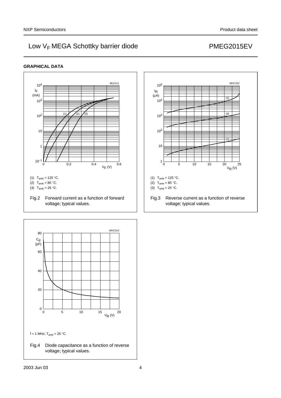# **GRAPHICAL DATA**

<span id="page-3-1"></span><span id="page-3-0"></span>

<span id="page-3-2"></span>Fig.4 Diode capacitance as a function of reverse voltage; typical values.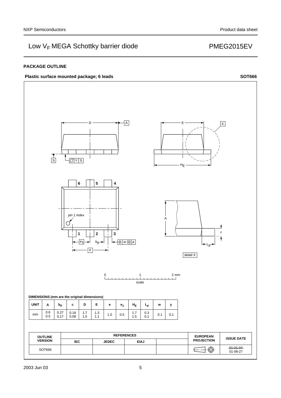## **PACKAGE OUTLINE**



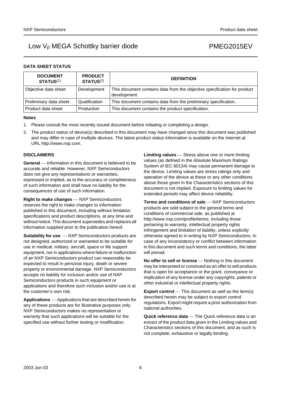## **DATA SHEET STATUS**

| <b>DOCUMENT</b><br><b>STATUS(1)</b> | <b>PRODUCT</b><br><b>STATUS(2)</b> | <b>DEFINITION</b>                                                                        |
|-------------------------------------|------------------------------------|------------------------------------------------------------------------------------------|
| Objective data sheet                | Development                        | This document contains data from the objective specification for product<br>development. |
| Preliminary data sheet              | Qualification                      | This document contains data from the preliminary specification.                          |
| Product data sheet                  | Production                         | This document contains the product specification.                                        |

### **Notes**

- <span id="page-5-0"></span>1. Please consult the most recently issued document before initiating or completing a design.
- <span id="page-5-1"></span>2. The product status of device(s) described in this document may have changed since this document was published and may differ in case of multiple devices. The latest product status information is available on the Internet at URL http://www.nxp.com.

## **DISCLAIMERS**

**General** – Information in this document is believed to be accurate and reliable. However, NXP Semiconductors does not give any representations or warranties, expressed or implied, as to the accuracy or completeness of such information and shall have no liability for the consequences of use of such information.

**Right to make changes** - NXP Semiconductors reserves the right to make changes to information published in this document, including without limitation specifications and product descriptions, at any time and without notice. This document supersedes and replaces all information supplied prior to the publication hereof.

**Suitability for use**  $-MXP$  Semiconductors products are not designed, authorized or warranted to be suitable for use in medical, military, aircraft, space or life support equipment, nor in applications where failure or malfunction of an NXP Semiconductors product can reasonably be expected to result in personal injury, death or severe property or environmental damage. NXP Semiconductors accepts no liability for inclusion and/or use of NXP Semiconductors products in such equipment or applications and therefore such inclusion and/or use is at the customer's own risk.

**Applications** ⎯ Applications that are described herein for any of these products are for illustrative purposes only. NXP Semiconductors makes no representation or warranty that such applications will be suitable for the specified use without further testing or modification.

**Limiting values** – Stress above one or more limiting values (as defined in the Absolute Maximum Ratings System of IEC 60134) may cause permanent damage to the device. Limiting values are stress ratings only and operation of the device at these or any other conditions above those given in the Characteristics sections of this document is not implied. Exposure to limiting values for extended periods may affect device reliability.

**Terms and conditions of sale** - NXP Semiconductors products are sold subject to the general terms and conditions of commercial sale, as published at http://www.nxp.com/profile/terms, including those pertaining to warranty, intellectual property rights infringement and limitation of liability, unless explicitly [otherwise agreed to in writing by NXP Semiconductors. In](http://www.nxp.com/profile/terms)  case of any inconsistency or conflict between information in this document and such terms and conditions, the latter will prevail.

**No offer to sell or license** - Nothing in this document may be interpreted or construed as an offer to sell products that is open for acceptance or the grant, conveyance or implication of any license under any copyrights, patents or other industrial or intellectual property rights.

**Export control** — This document as well as the item(s) described herein may be subject to export control regulations. Export might require a prior authorization from national authorities.

**Quick reference data** — The Quick reference data is an extract of the product data given in the Limiting values and Characteristics sections of this document, and as such is not complete, exhaustive or legally binding.